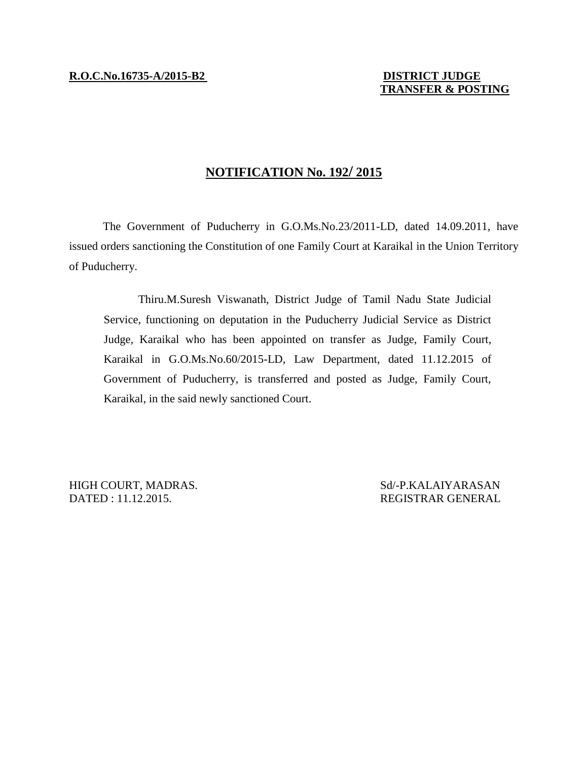## **TRANSFER & POSTING**

## **NOTIFICATION No. 192/ 2015**

The Government of Puducherry in G.O.Ms.No.23/2011-LD, dated 14.09.2011, have issued orders sanctioning the Constitution of one Family Court at Karaikal in the Union Territory of Puducherry.

Thiru.M.Suresh Viswanath, District Judge of Tamil Nadu State Judicial Service, functioning on deputation in the Puducherry Judicial Service as District Judge, Karaikal who has been appointed on transfer as Judge, Family Court, Karaikal in G.O.Ms.No.60/2015-LD, Law Department, dated 11.12.2015 of Government of Puducherry, is transferred and posted as Judge, Family Court, Karaikal, in the said newly sanctioned Court.

HIGH COURT, MADRAS. Sd/-P.KALAIYARASAN DATED : 11.12.2015. REGISTRAR GENERAL